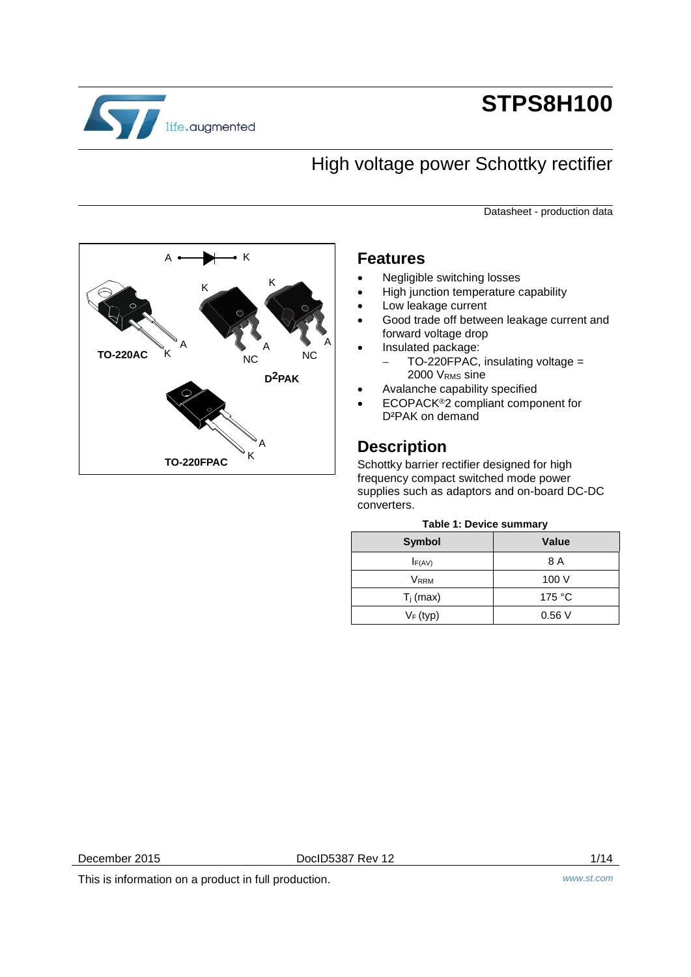

# **STPS8H100**

## High voltage power Schottky rectifier

Datasheet - production data



## **Features**

- Negligible switching losses
- High junction temperature capability
- Low leakage current
- Good trade off between leakage current and forward voltage drop
	- Insulated package: - TO-220FPAC, insulating voltage =
- 2000 VRMS sine Avalanche capability specified
- ECOPACK®2 compliant component for D<sup>2</sup>PAK on demand

## **Description**

Schottky barrier rectifier designed for high frequency compact switched mode power supplies such as adaptors and on-board DC-DC converters.

## **Table 1: Device summary**

| Symbol                  | <b>Value</b>    |
|-------------------------|-----------------|
| $I_{F(AV)}$             | 8 A             |
| <b>V</b> <sub>RRM</sub> | 100 V           |
| $T_j$ (max)             | 175 $\degree$ C |
| $V_F$ (typ)             | 0.56V           |

December 2015 **DociD5387 Rev 12** 1/14

This is information on a product in full production. *www.st.com*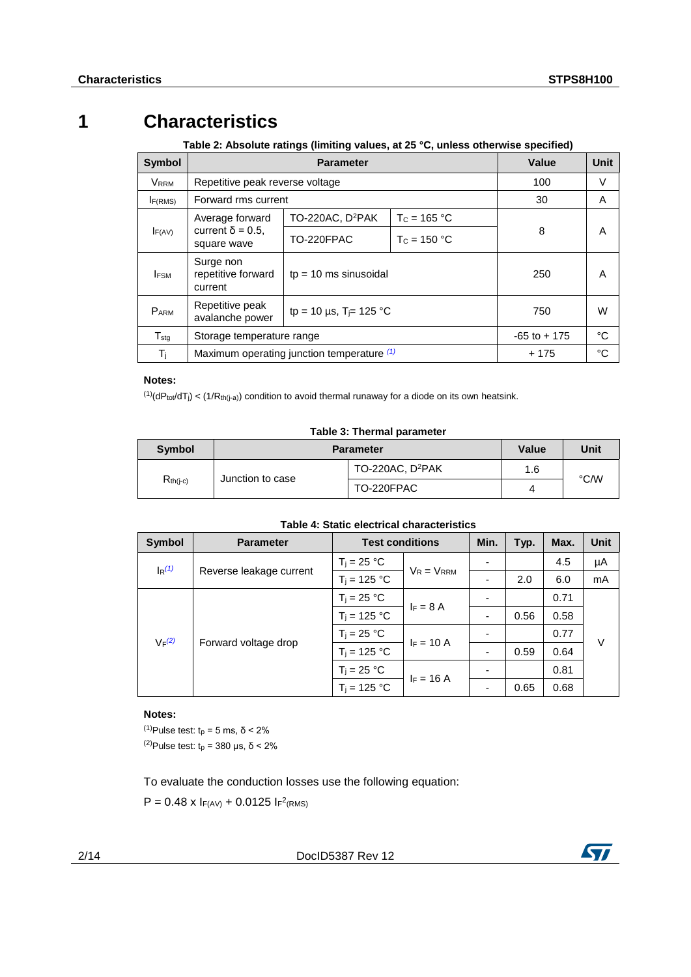## **1 Characteristics**

<span id="page-1-3"></span>**Table 2: Absolute ratings (limiting values, at 25 °C, unless otherwise specified)**

| <b>Symbol</b>               |                                            | Value                                      | Unit           |                 |    |
|-----------------------------|--------------------------------------------|--------------------------------------------|----------------|-----------------|----|
| <b>VRRM</b>                 | Repetitive peak reverse voltage            |                                            |                | 100             | V  |
| I <sub>F(RMS)</sub>         | Forward rms current                        |                                            |                | 30              | A  |
|                             | Average forward                            | TO-220AC, D <sup>2</sup> PAK               | $T_c = 165 °C$ |                 |    |
| IF(AV)                      | current $\delta$ = 0.5.<br>square wave     | TO-220FPAC                                 | $T_c = 150 °C$ | 8               | A  |
| <b>IFSM</b>                 | Surge non<br>repetitive forward<br>current | $tp = 10$ ms sinusoidal                    |                | 250             | A  |
| <b>PARM</b>                 | Repetitive peak<br>avalanche power         | tp = 10 µs, T <sub>i</sub> = 125 °C        |                | 750             | W  |
| $\mathsf{T}_{\mathsf{stq}}$ | Storage temperature range                  |                                            |                | $-65$ to $+175$ | °C |
| $T_{\rm j}$                 |                                            | Maximum operating junction temperature (1) |                | + 175           | °C |

### **Notes:**

<span id="page-1-0"></span> $(1)(dP_{tot}/dT_j) < (1/R_{th(j-a)})$  condition to avoid thermal runaway for a diode on its own heatsink.

### **Table 3: Thermal parameter**

| Symbol        | Value<br><b>Parameter</b> |                              |     | Unit |
|---------------|---------------------------|------------------------------|-----|------|
| $R_{th(i-c)}$ | Junction to case          | TO-220AC, D <sup>2</sup> PAK | 1.6 |      |
|               |                           | TO-220FPAC                   |     | °C/W |

### **Table 4: Static electrical characteristics**

| Symbol   | <b>Parameter</b>        | <b>Test conditions</b> |                 | Min.                     | Typ. | Max. | <b>Unit</b> |
|----------|-------------------------|------------------------|-----------------|--------------------------|------|------|-------------|
| $I_R(1)$ | Reverse leakage current | $T_i = 25 °C$          | $V_R = V_{RRM}$ |                          |      | 4.5  | μA          |
|          |                         | $T_i = 125 °C$         |                 |                          | 2.0  | 6.0  | mA          |
| $V_F(2)$ | Forward voltage drop    | $T_i = 25 °C$          |                 |                          |      | 0.71 | V           |
|          |                         | $T_i = 125 °C$         | $I_F = 8$ A     | -                        | 0.56 | 0.58 |             |
|          |                         | $T_i = 25 °C$          | $F = 10 A$      |                          |      | 0.77 |             |
|          |                         | $T_i = 125 °C$         |                 | $\overline{\phantom{0}}$ | 0.59 | 0.64 |             |
|          |                         | $T_j = 25 °C$          | $F = 16 A$      |                          |      | 0.81 |             |
|          |                         | $T_i = 125 °C$         |                 | ٠                        | 0.65 | 0.68 |             |

### **Notes:**

<span id="page-1-2"></span><span id="page-1-1"></span> $(1)$ Pulse test: t<sub>p</sub> = 5 ms, δ < 2% <sup>(2)</sup>Pulse test:  $t_p$  = 380 μs, δ < 2%

To evaluate the conduction losses use the following equation:

 $P = 0.48 \times I_{F(AV)} + 0.0125 I_{F}^2$ (RMS)

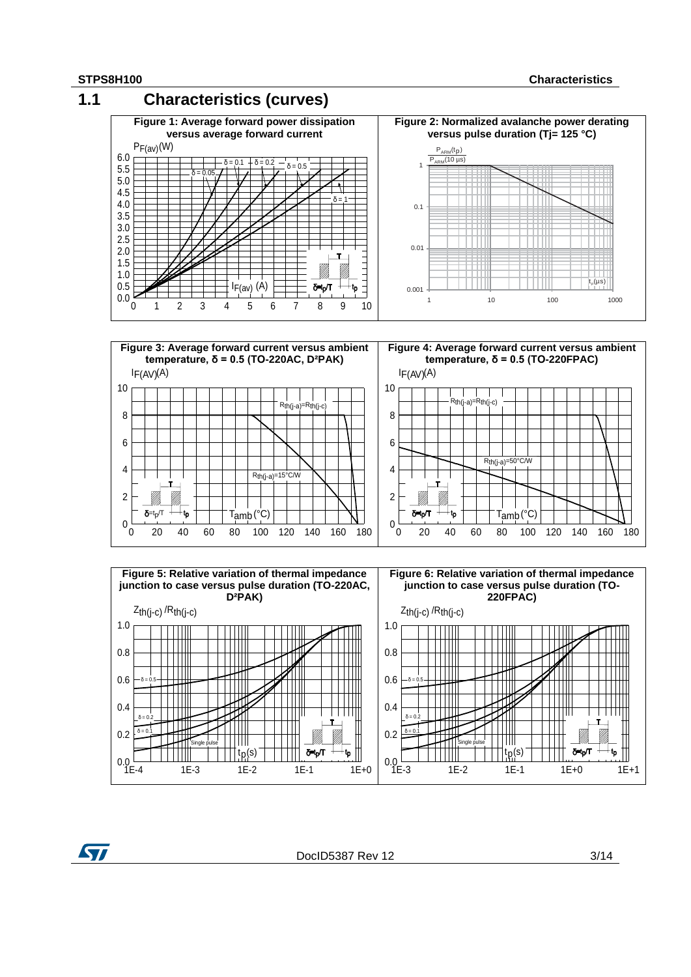

 $0.0 - 1 = -4$ 

57

1E-4 1E-3 1E-2 1E-1 1E+0

tp(s)

Single pulse

DocID5387 Rev 12 3/14

 $0.0 - 1 = -3$ 

 $\delta$ =t<sub>p</sub> $\pi$   $\rightarrow$ t<sub>p</sub>

δ=t<sub>p</sub>/T

1E-3 1E-2 1E-1 1E+0 1E+1

 $tp(s)$ 

Single pulse |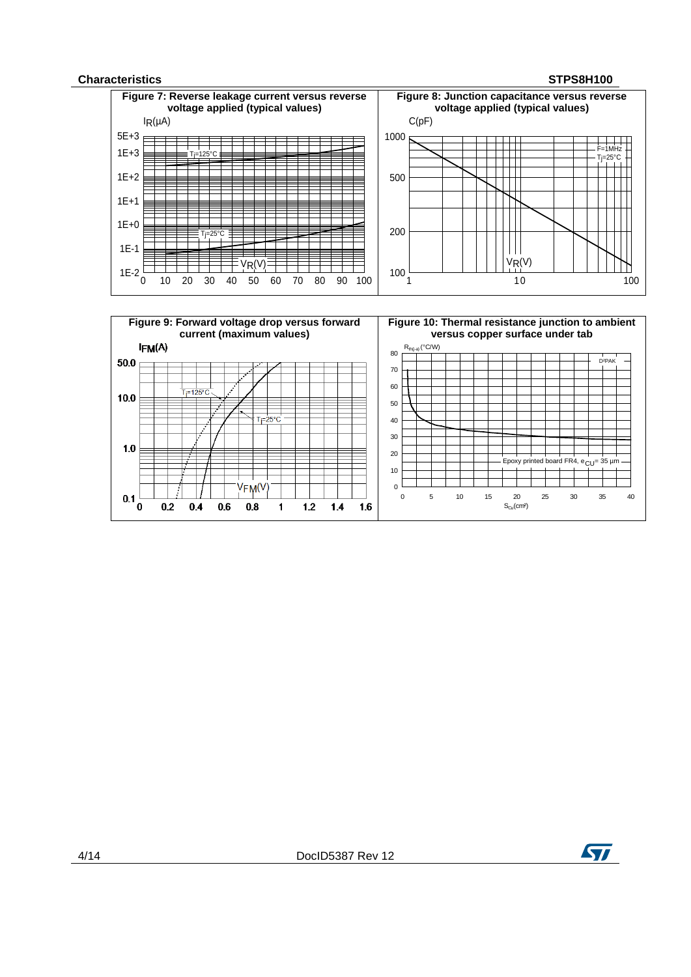### **Characteristics STPS8H100**

 $1.0$ 

 $0.1\frac{1}{0}$ 

 $0.2$ 

 $0.4$ 

 $0.6$ 



 $T$ j=25°C

 $1.2$ 

 $\blacksquare$ 

 $1.4$ 

 $1.6$ 

VFM<sup>(V</sup>

 $0.8$ 

> 0 5 10 15 20 25 30 35 40  $S_{Cu}(cm<sup>2</sup>)$

Epoxy printed board FR4,  $e_{CU}$ = 35 µm

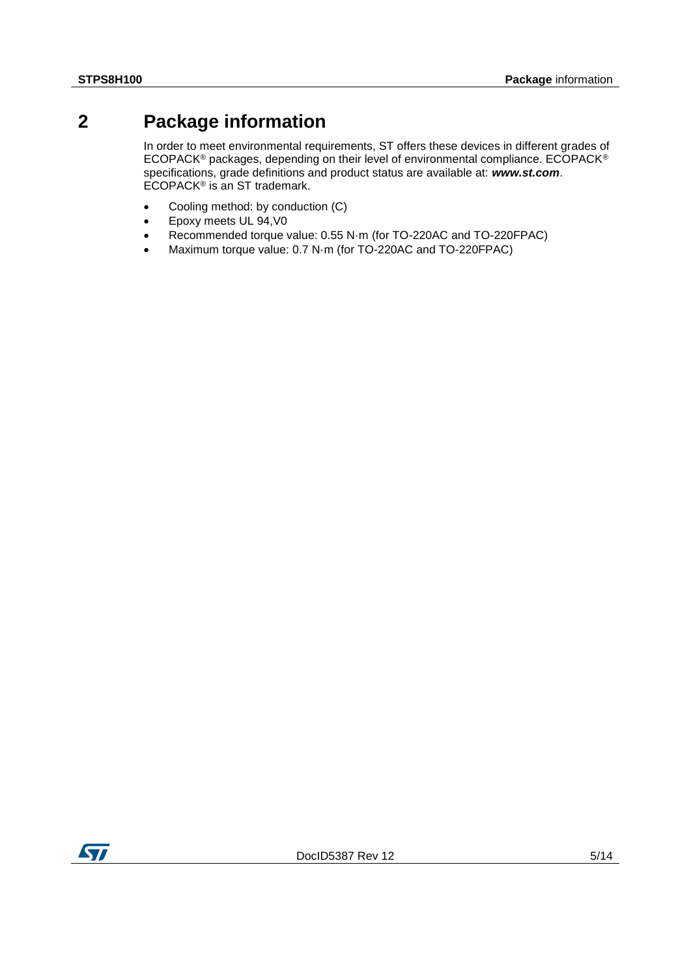## **2 Package information**

<span id="page-4-0"></span>In order to meet environmental requirements, ST offers these devices in different grades of ECOPACK® packages, depending on their level of environmental compliance. ECOPACK® specifications, grade definitions and product status are available at: *www.st.com*. ECOPACK® is an ST trademark.

- Cooling method: by conduction (C)
- Epoxy meets UL 94,V0
- Recommended torque value: 0.55 N·m (for TO-220AC and TO-220FPAC)
- Maximum torque value: 0.7 N·m (for TO-220AC and TO-220FPAC)

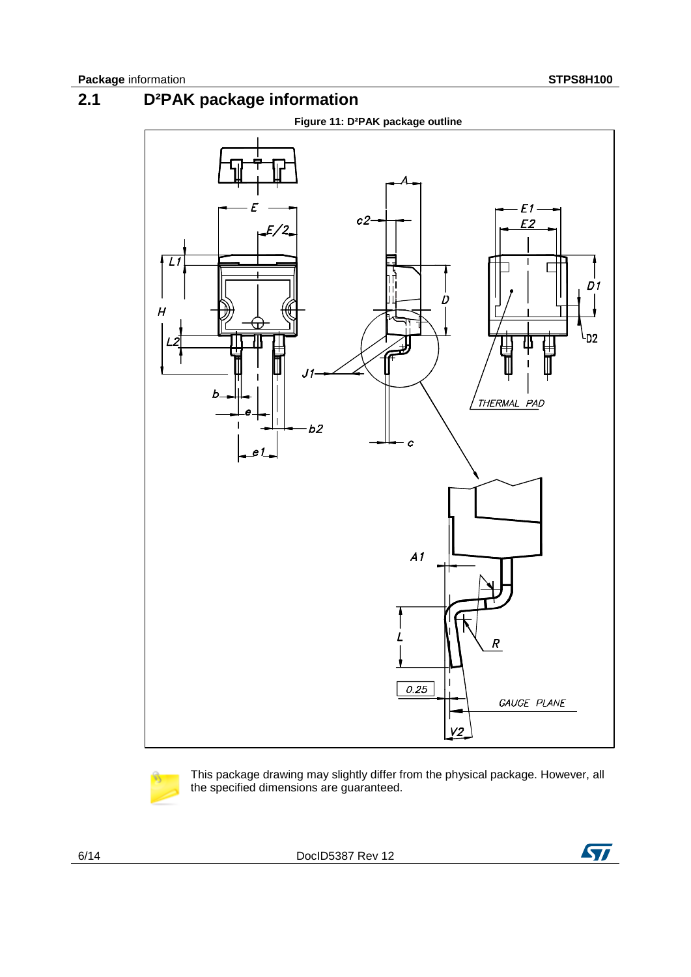## **2.1 D²PAK package information**







This package drawing may slightly differ from the physical package. However, all the specified dimensions are guaranteed.

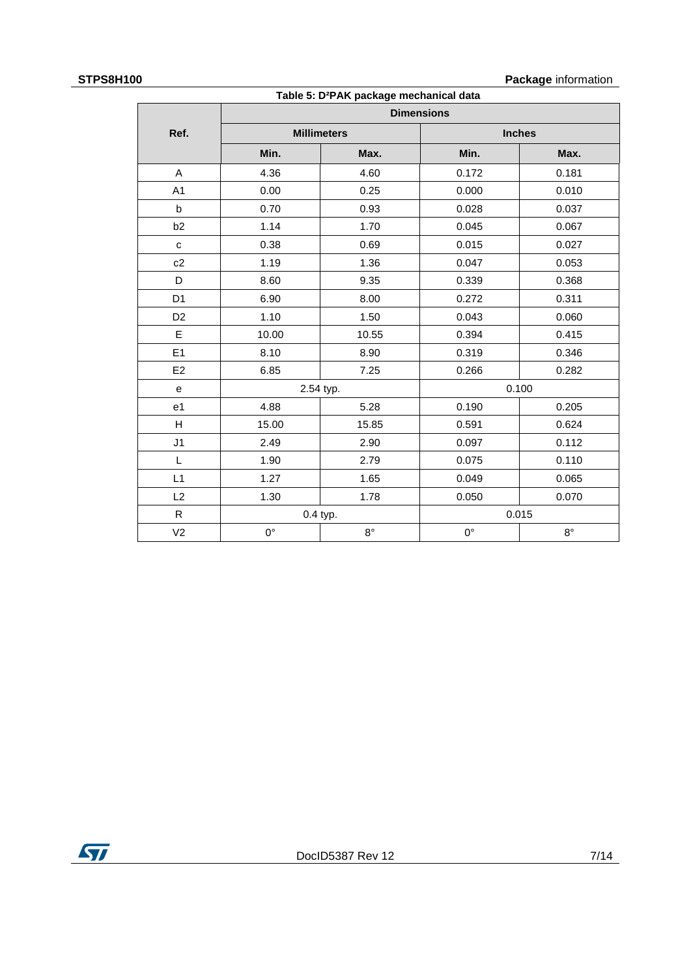## **STPS8H100 Package** information

| $\ddot{\phantom{a}}$ |                   | Table 5: D <sup>2</sup> PAK package mechanical data |                | <b>1 avnago</b> mommunom |  |
|----------------------|-------------------|-----------------------------------------------------|----------------|--------------------------|--|
|                      | <b>Dimensions</b> |                                                     |                |                          |  |
| Ref.                 |                   | <b>Millimeters</b>                                  |                | <b>Inches</b>            |  |
|                      | Min.              | Max.                                                | Min.           | Max.                     |  |
| A                    | 4.36              | 4.60                                                | 0.172          | 0.181                    |  |
| A <sub>1</sub>       | 0.00              | 0.25                                                | 0.000          | 0.010                    |  |
| $\mathsf{b}$         | 0.70              | 0.93                                                | 0.028          | 0.037                    |  |
| b2                   | 1.14              | 1.70                                                | 0.045          | 0.067                    |  |
| $\mathbf{C}$         | 0.38              | 0.69                                                | 0.015          | 0.027                    |  |
| c2                   | 1.19              | 1.36                                                | 0.047          | 0.053                    |  |
| D                    | 8.60              | 9.35                                                | 0.339          | 0.368                    |  |
| D <sub>1</sub>       | 6.90              | 8.00                                                | 0.272<br>0.311 |                          |  |
| D <sub>2</sub>       | 1.10              | 1.50                                                | 0.043<br>0.060 |                          |  |
| E                    | 10.00             | 10.55                                               | 0.394          | 0.415                    |  |
| E1                   | 8.10              | 8.90                                                | 0.319          | 0.346                    |  |
| E2                   | 6.85              | 7.25                                                | 0.282<br>0.266 |                          |  |
| e                    | 2.54 typ.         |                                                     |                | 0.100                    |  |
| e <sub>1</sub>       | 4.88              | 5.28                                                | 0.190          | 0.205                    |  |
| H                    | 15.00             | 15.85                                               | 0.591          | 0.624                    |  |
| J <sub>1</sub>       | 2.49              | 2.90                                                | 0.097          | 0.112                    |  |
| L                    | 1.90              | 2.79                                                | 0.075          | 0.110                    |  |
| L1                   | 1.27              | 1.65                                                | 0.049          | 0.065                    |  |
| L2                   | 1.30              | 1.78                                                | 0.050          | 0.070                    |  |
| $\mathsf{R}$         |                   | 0.4 typ.                                            | 0.015          |                          |  |
| V <sub>2</sub>       | $0^{\circ}$       | $8^{\circ}$                                         | $0^{\circ}$    | $8^{\circ}$              |  |

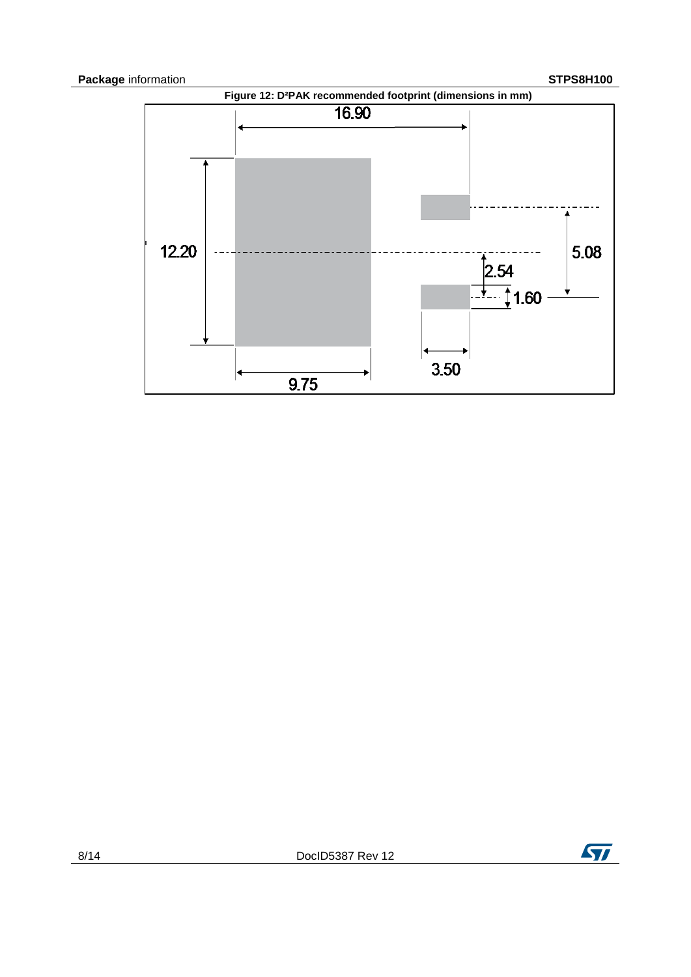

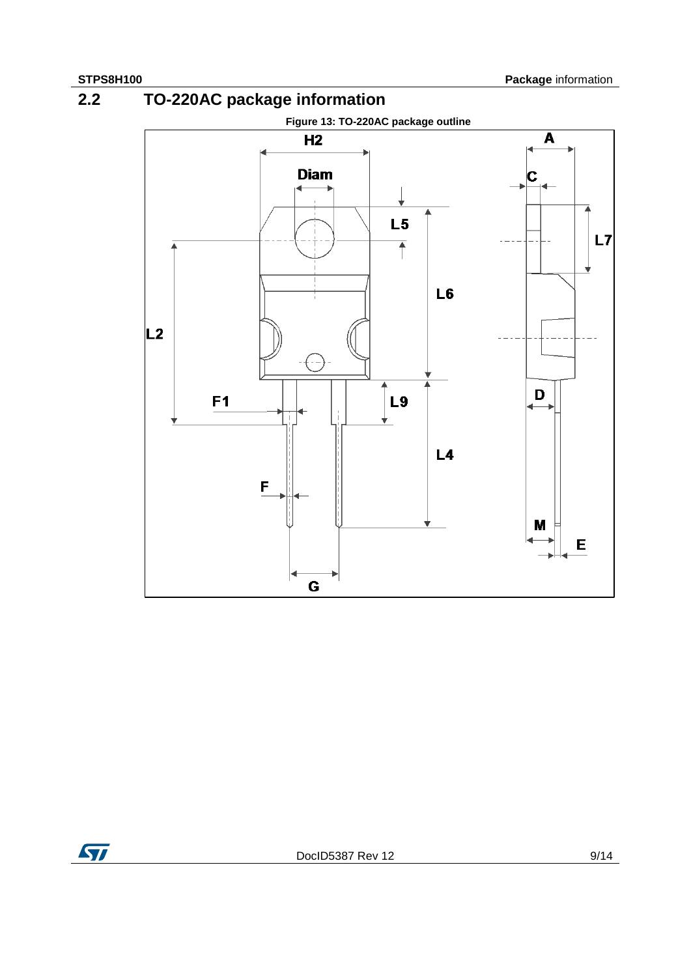**2.2 TO-220AC package information**



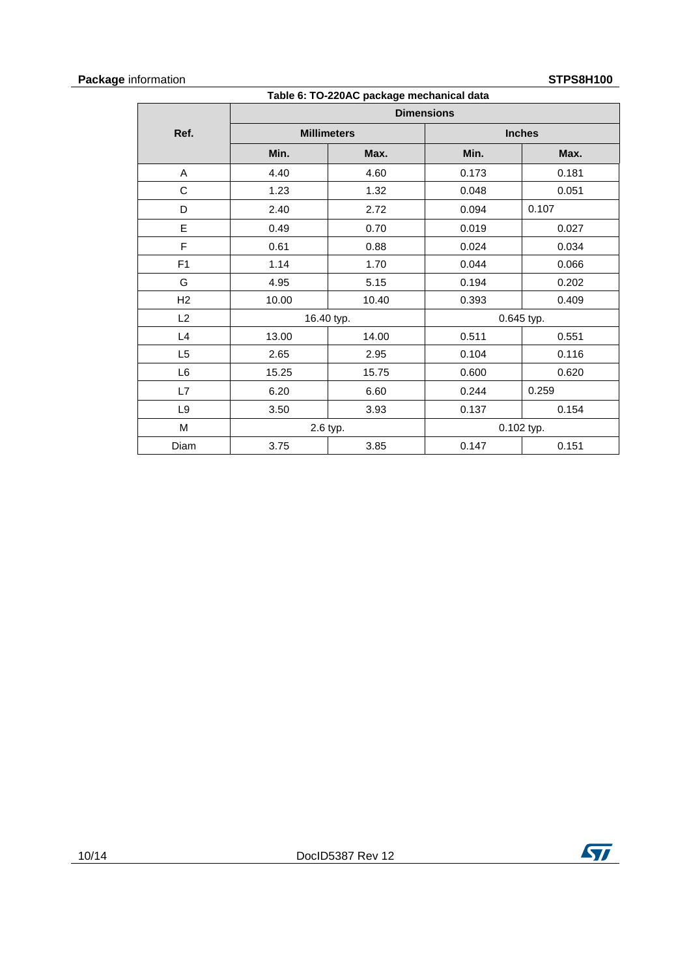## **Package** information **STPS8H100**

| <b>1101111011011</b><br>טטוווטט ווט<br>Table 6: TO-220AC package mechanical data |                   |                    |               |              |  |  |
|----------------------------------------------------------------------------------|-------------------|--------------------|---------------|--------------|--|--|
|                                                                                  | <b>Dimensions</b> |                    |               |              |  |  |
| Ref.                                                                             |                   | <b>Millimeters</b> | <b>Inches</b> |              |  |  |
|                                                                                  | Min.              | Max.               | Min.          | Max.         |  |  |
| A                                                                                | 4.40              | 4.60               | 0.173         | 0.181        |  |  |
| C                                                                                | 1.23              | 1.32               | 0.048         | 0.051        |  |  |
| D                                                                                | 2.40              | 2.72               | 0.094         | 0.107        |  |  |
| E                                                                                | 0.49              | 0.70               | 0.019         | 0.027        |  |  |
| F                                                                                | 0.61              | 0.88               | 0.024         | 0.034        |  |  |
| F <sub>1</sub>                                                                   | 1.14              | 1.70               | 0.044         | 0.066        |  |  |
| G                                                                                | 4.95              | 5.15               | 0.194         | 0.202        |  |  |
| H2                                                                               | 10.00             | 10.40              | 0.393         | 0.409        |  |  |
| L2                                                                               |                   | 16.40 typ.         | 0.645 typ.    |              |  |  |
| L4                                                                               | 13.00             | 14.00              | 0.511         | 0.551        |  |  |
| L5                                                                               | 2.65              | 2.95               | 0.104         | 0.116        |  |  |
| L <sub>6</sub>                                                                   | 15.25             | 15.75              | 0.600         | 0.620        |  |  |
| L7                                                                               | 6.20              | 6.60               | 0.244         | 0.259        |  |  |
| L <sub>9</sub>                                                                   | 3.50              | 3.93               | 0.137         | 0.154        |  |  |
| M                                                                                |                   | 2.6 typ.           |               | $0.102$ typ. |  |  |
| Diam                                                                             | 3.75              | 3.85               | 0.147         | 0.151        |  |  |

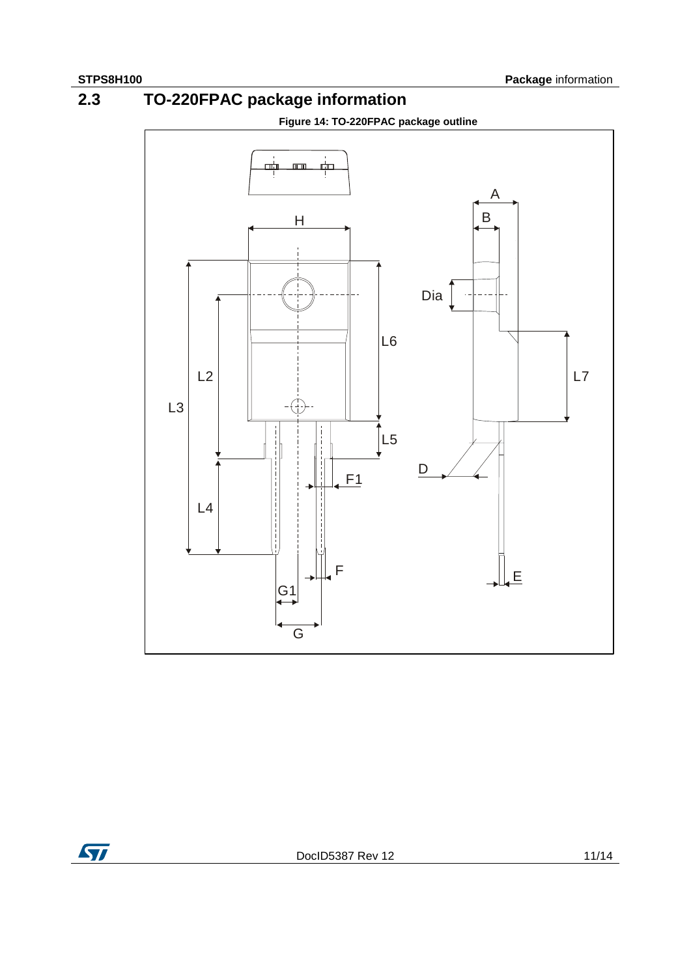## **2.3 TO-220FPAC package information**

**Figure 14: TO-220FPAC package outline**



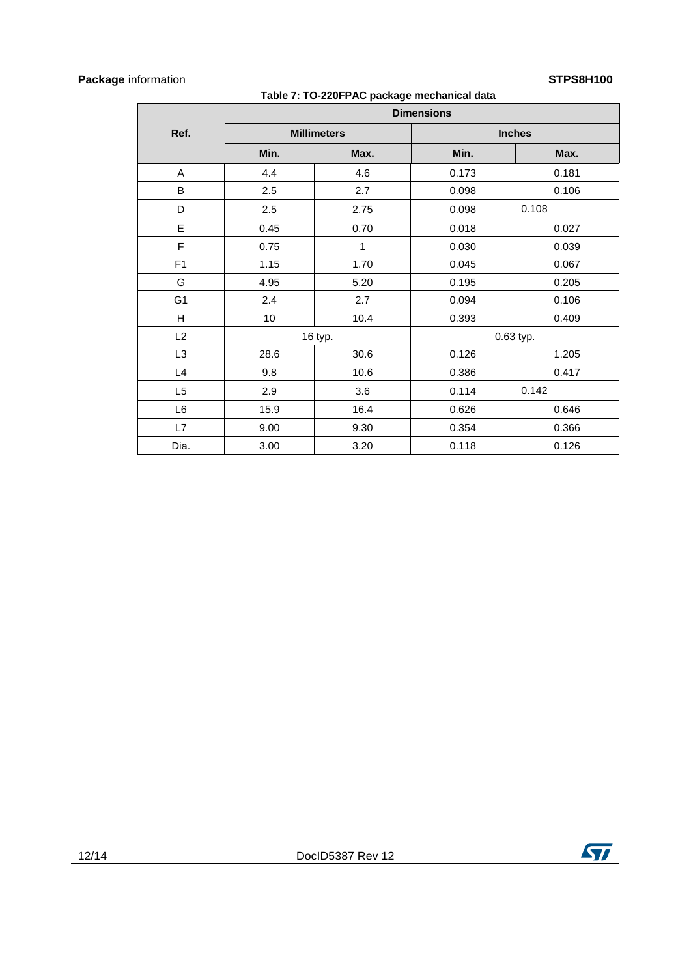## **Package** information **STPS8H100**

| <b>1101111011011</b><br>טטוווטט ווט<br>Table 7: TO-220FPAC package mechanical data |                   |                    |               |           |  |
|------------------------------------------------------------------------------------|-------------------|--------------------|---------------|-----------|--|
|                                                                                    | <b>Dimensions</b> |                    |               |           |  |
| Ref.                                                                               |                   | <b>Millimeters</b> | <b>Inches</b> |           |  |
|                                                                                    | Min.              | Max.               | Min.          | Max.      |  |
| A                                                                                  | 4.4               | 4.6                | 0.173         | 0.181     |  |
| B                                                                                  | 2.5               | 2.7                | 0.098         | 0.106     |  |
| D                                                                                  | 2.5               | 2.75               | 0.098         | 0.108     |  |
| E                                                                                  | 0.45              | 0.70               | 0.018         | 0.027     |  |
| F                                                                                  | 0.75              | 1                  | 0.030         | 0.039     |  |
| F1                                                                                 | 1.15              | 1.70               | 0.045         | 0.067     |  |
| G                                                                                  | 4.95              | 5.20               | 0.195         | 0.205     |  |
| G <sub>1</sub>                                                                     | 2.4               | 2.7                | 0.094         | 0.106     |  |
| H                                                                                  | 10                | 10.4               | 0.393         | 0.409     |  |
| L2                                                                                 |                   | 16 typ.            |               | 0.63 typ. |  |
| L <sub>3</sub>                                                                     | 28.6              | 30.6               | 0.126         | 1.205     |  |
| L4                                                                                 | 9.8               | 10.6               | 0.386         | 0.417     |  |
| L <sub>5</sub>                                                                     | 2.9               | 3.6                | 0.114         | 0.142     |  |
| L6                                                                                 | 15.9              | 16.4               | 0.626         | 0.646     |  |
| L7                                                                                 | 9.00              | 9.30               | 0.354         | 0.366     |  |
| Dia.                                                                               | 3.00              | 3.20               | 0.118         | 0.126     |  |

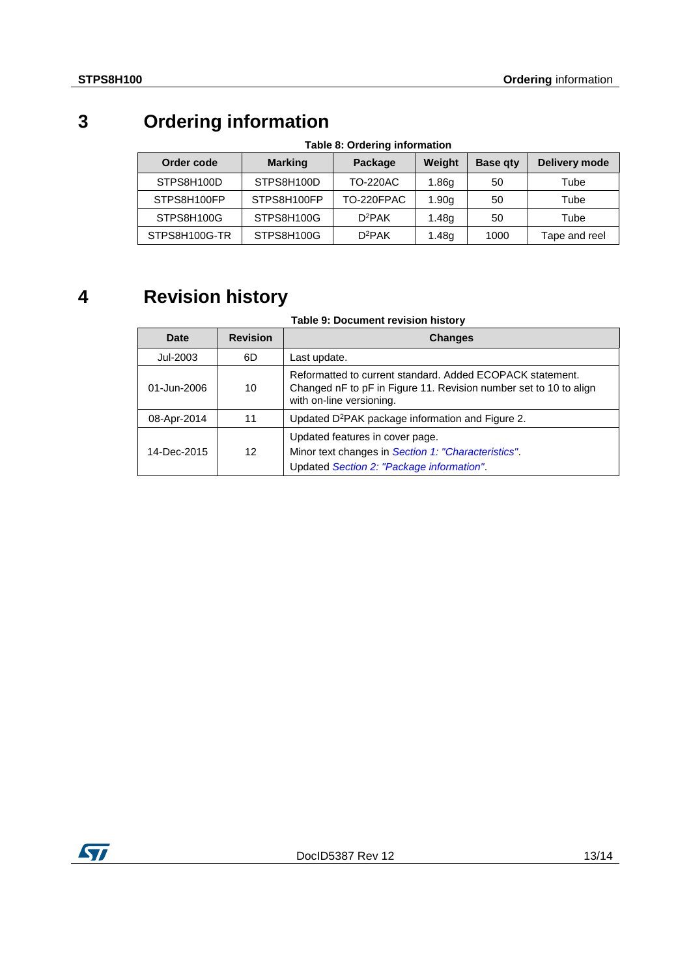## **3 Ordering information**

| Order code    | <b>Marking</b> | Package         | Weight            | <b>Base gty</b> | Delivery mode |
|---------------|----------------|-----------------|-------------------|-----------------|---------------|
| STPS8H100D    | STPS8H100D     | <b>TO-220AC</b> | 1.86 <sub>q</sub> | 50              | Tube          |
| STPS8H100FP   | STPS8H100FP    | TO-220FPAC      | 1.90 <sub>g</sub> | 50              | Tube          |
| STPS8H100G    | STPS8H100G     | $D^2PAK$        | 1.48g             | 50              | Tube          |
| STPS8H100G-TR | STPS8H100G     | $D^2PAK$        | 1.48g             | 1000            | Tape and reel |

### **Table 8: Ordering information**

## **4 Revision history**

### **Table 9: Document revision history**

| Date        | <b>Revision</b> | <b>Changes</b>                                                                                                                                             |
|-------------|-----------------|------------------------------------------------------------------------------------------------------------------------------------------------------------|
| Jul-2003    | 6D              | Last update.                                                                                                                                               |
| 01-Jun-2006 | 10              | Reformatted to current standard. Added ECOPACK statement.<br>Changed nF to pF in Figure 11. Revision number set to 10 to align<br>with on-line versioning. |
| 08-Apr-2014 | 11              | Updated D <sup>2</sup> PAK package information and Figure 2.                                                                                               |
| 14-Dec-2015 | 12              | Updated features in cover page.<br>Minor text changes in Section 1: "Characteristics".<br>Updated Section 2: "Package information".                        |